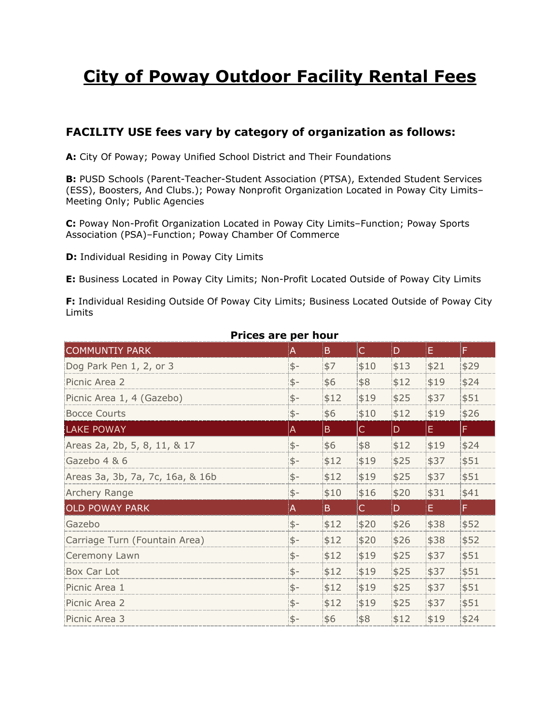# **City of Poway Outdoor Facility Rental Fees**

# **FACILITY USE fees vary by category of organization as follows:**

**A:** City Of Poway; Poway Unified School District and Their Foundations

**B:** PUSD Schools (Parent-Teacher-Student Association (PTSA), Extended Student Services (ESS), Boosters, And Clubs.); Poway Nonprofit Organization Located in Poway City Limits– Meeting Only; Public Agencies

**C:** Poway Non-Profit Organization Located in Poway City Limits–Function; Poway Sports Association (PSA)–Function; Poway Chamber Of Commerce

**D:** Individual Residing in Poway City Limits

**E:** Business Located in Poway City Limits; Non-Profit Located Outside of Poway City Limits

**F:** Individual Residing Outside Of Poway City Limits; Business Located Outside of Poway City Limits

| Prices are per nour              |      |              |              |      |      |      |  |  |  |  |
|----------------------------------|------|--------------|--------------|------|------|------|--|--|--|--|
| <b>COMMUNTIY PARK</b>            | A    | B.           | $\mathsf{C}$ | D.   | E.   | F.   |  |  |  |  |
| Dog Park Pen 1, 2, or 3          | $$-$ | \$7          | \$10         | \$13 | \$21 | \$29 |  |  |  |  |
| Picnic Area 2                    | $$-$ | \$6          | \$8          | \$12 | \$19 | \$24 |  |  |  |  |
| Picnic Area 1, 4 (Gazebo)        | $$-$ | \$12         | \$19         | \$25 | \$37 | \$51 |  |  |  |  |
| <b>Bocce Courts</b>              | $$-$ | \$6          | \$10         | \$12 | \$19 | \$26 |  |  |  |  |
| <b>LAKE POWAY</b>                | A    | $\mathsf{B}$ | IC.          | D.   | Ε.   | F    |  |  |  |  |
| Areas 2a, 2b, 5, 8, 11, & 17     | $$-$ | \$6          | \$8          | \$12 | \$19 | \$24 |  |  |  |  |
| Gazebo 4 & 6                     | $$-$ | \$12         | \$19         | \$25 | \$37 | \$51 |  |  |  |  |
| Areas 3a, 3b, 7a, 7c, 16a, & 16b | \$-  | \$12         | \$19         | \$25 | \$37 | \$51 |  |  |  |  |
| Archery Range                    | \$-  | \$10         | \$16         | \$20 | \$31 | \$41 |  |  |  |  |
| <b>OLD POWAY PARK</b>            | A    | B.           | $\mathsf{C}$ | D.   | Ε.   | F.   |  |  |  |  |
| Gazebo                           | \$-  | \$12         | \$20         | \$26 | \$38 | \$52 |  |  |  |  |
| Carriage Turn (Fountain Area)    | $$-$ | \$12         | \$20         | \$26 | \$38 | \$52 |  |  |  |  |
| Ceremony Lawn                    | $$-$ | \$12         | \$19         | \$25 | \$37 | \$51 |  |  |  |  |
| Box Car Lot                      | $$-$ | \$12         | \$19         | \$25 | \$37 | \$51 |  |  |  |  |
| Picnic Area 1                    | $$-$ | \$12         | \$19         | \$25 | \$37 | \$51 |  |  |  |  |
| Picnic Area 2                    | $$-$ | \$12         | \$19         | \$25 | \$37 | \$51 |  |  |  |  |
| Picnic Area 3                    | $$-$ | \$6          | \$8          | \$12 | \$19 | \$24 |  |  |  |  |

### **Prices are per hour**